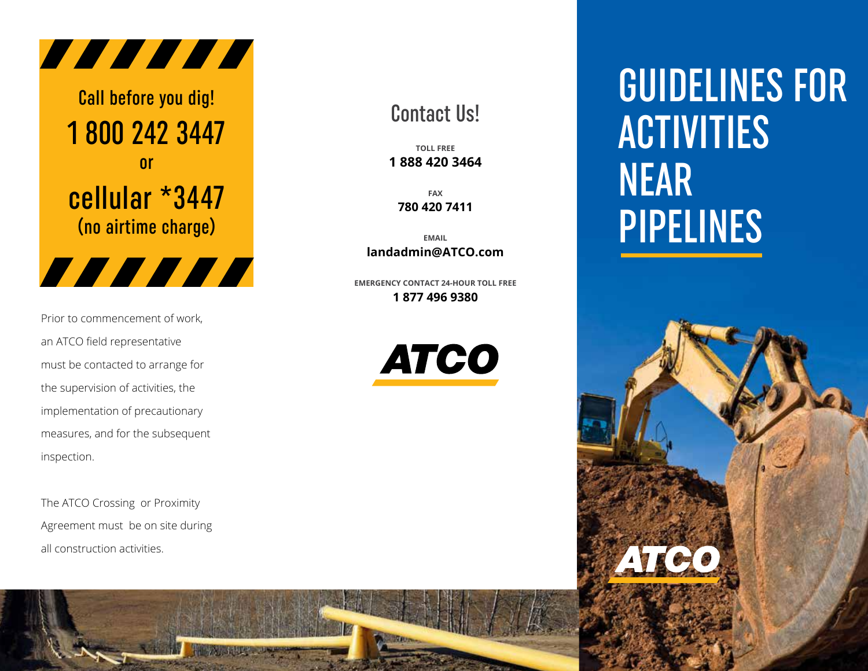

Call before you dig! 1 800 242 3447 or cellular \*3447 (no airtime charge)

777777

Prior to commencement of work, an ATCO field representative must be contacted to arrange for the supervision of activities, the implementation of precautionary measures, and for the subsequent inspection.

The ATCO Crossing or Proximity Agreement must be on site during all construction activities.

## Contact Us!

**TOLL FREE 1 888 420 3464**

> **FAX 780 420 7411**

**EMAIL landadmin@ATCO.com**

**EMERGENCY CONTACT 24-HOUR TOLL FREE 1 877 496 9380**



## GUIDELINES FOR ACTIVITIES NEAR PIPELINES